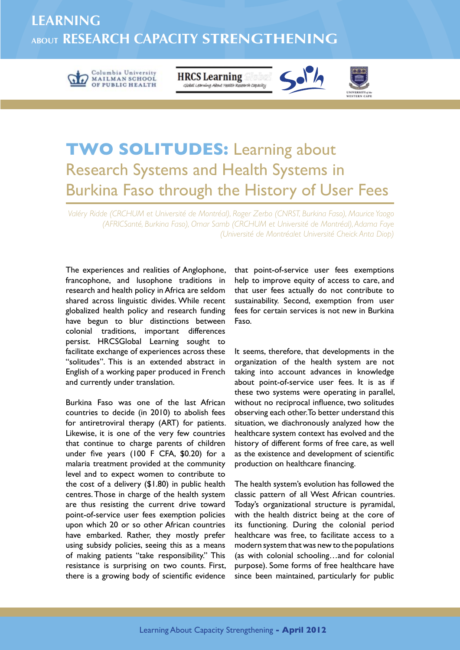## **Learning About Research Capacity Strengthening**



**TWO SOLITUDES:** Learning about Research Systems and Health Systems in Burkina Faso through the History of User Fees

**HRCS Learning** 

Global Learning About Health Research Capacity

*Valéry Ridde (CRCHUM et Université de Montréal), Roger Zerbo (CNRST, Burkina Faso), Maurice Yaogo (AFRICSanté, Burkina Faso), Omar Samb (CRCHUM et Université de Montréal), Adama Faye (Université de Montréalet Université Cheick Anta Diop)*

The experiences and realities of Anglophone, francophone, and lusophone traditions in research and health policy in Africa are seldom shared across linguistic divides. While recent globalized health policy and research funding have begun to blur distinctions between colonial traditions, important differences persist. HRCSGlobal Learning sought to facilitate exchange of experiences across these "solitudes". This is an extended abstract in English of a working paper produced in French and currently under translation.

Burkina Faso was one of the last African countries to decide (in 2010) to abolish fees for antiretroviral therapy (ART) for patients. Likewise, it is one of the very few countries that continue to charge parents of children under five years (100 F CFA, \$0.20) for a malaria treatment provided at the community level and to expect women to contribute to the cost of a delivery (\$1.80) in public health centres. Those in charge of the health system are thus resisting the current drive toward point-of-service user fees exemption policies upon which 20 or so other African countries have embarked. Rather, they mostly prefer using subsidy policies, seeing this as a means of making patients "take responsibility." This resistance is surprising on two counts. First, there is a growing body of scientific evidence

that point-of-service user fees exemptions help to improve equity of access to care, and that user fees actually do not contribute to sustainability. Second, exemption from user fees for certain services is not new in Burkina Faso.

 $\leq$ o $\frac{1}{2}$ 

It seems, therefore, that developments in the organization of the health system are not taking into account advances in knowledge about point-of-service user fees. It is as if these two systems were operating in parallel, without no reciprocal influence, two solitudes observing each other. To better understand this situation, we diachronously analyzed how the healthcare system context has evolved and the history of different forms of free care, as well as the existence and development of scientific production on healthcare financing.

The health system's evolution has followed the classic pattern of all West African countries. Today's organizational structure is pyramidal, with the health district being at the core of its functioning. During the colonial period healthcare was free, to facilitate access to a modern system that was new to the populations (as with colonial schooling…and for colonial purpose). Some forms of free healthcare have since been maintained, particularly for public